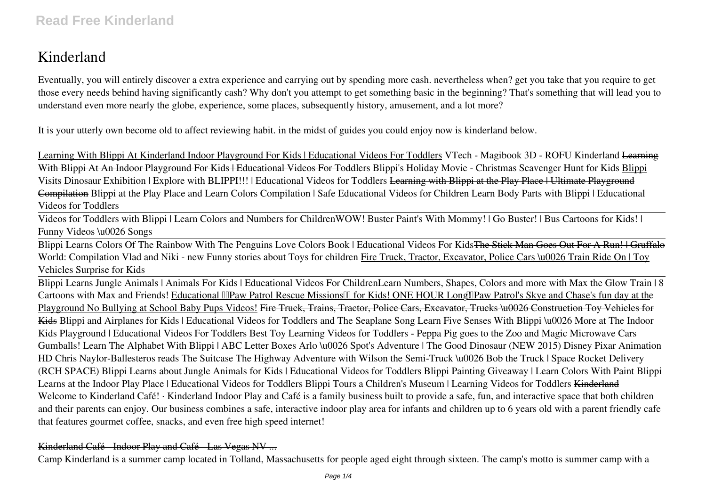# **Kinderland**

Eventually, you will entirely discover a extra experience and carrying out by spending more cash. nevertheless when? get you take that you require to get those every needs behind having significantly cash? Why don't you attempt to get something basic in the beginning? That's something that will lead you to understand even more nearly the globe, experience, some places, subsequently history, amusement, and a lot more?

It is your utterly own become old to affect reviewing habit. in the midst of guides you could enjoy now is **kinderland** below.

Learning With Blippi At Kinderland Indoor Playground For Kids | Educational Videos For Toddlers VTech - Magibook 3D - ROFU Kinderland <del>Learning</del> With Blippi At An Indoor Playground For Kids | Educational Videos For Toddlers Blippi's Holiday Movie - Christmas Scavenger Hunt for Kids Blippi Visits Dinosaur Exhibition | Explore with BLIPPI!!! | Educational Videos for Toddlers Learning with Blippi at the Play Place | Ultimate Playground Compilation Blippi at the Play Place and Learn Colors Compilation | Safe Educational Videos for Children Learn Body Parts with Blippi | Educational Videos for Toddlers

Videos for Toddlers with Blippi | Learn Colors and Numbers for Children*WOW! Buster Paint's With Mommy! | Go Buster! | Bus Cartoons for Kids! | Funny Videos \u0026 Songs*

Blippi Learns Colors Of The Rainbow With The Penguins Love Colors Book | Educational Videos For Kids<del>The Stick Man Goes Out For A Run! | Gruffalo</del> World: Compilation Vlad and Niki - new Funny stories about Toys for children Fire Truck, Tractor, Excavator, Police Cars \u0026 Train Ride On | Toy Vehicles Surprise for Kids

Blippi Learns Jungle Animals | Animals For Kids | Educational Videos For Children*Learn Numbers, Shapes, Colors and more with Max the Glow Train | 8* Cartoons with Max and Friends! Educational **IIIPaw Patrol Rescue Missions** III for Kids! ONE HOUR Long IIPaw Patrol's Skye and Chase's fun day at the Playground No Bullying at School Baby Pups Videos! Fire Truck, Trains, Tractor, Police Cars, Excavator, Trucks \u0026 Construction Toy Vehicles for Kids *Blippi and Airplanes for Kids | Educational Videos for Toddlers and The Seaplane Song Learn Five Senses With Blippi \u0026 More at The Indoor Kids Playground | Educational Videos For Toddlers Best Toy Learning Videos for Toddlers - Peppa Pig goes to the Zoo and Magic Microwave Cars Gumballs! Learn The Alphabet With Blippi | ABC Letter Boxes* **Arlo \u0026 Spot's Adventure | The Good Dinosaur (NEW 2015) Disney Pixar Animation HD Chris Naylor-Ballesteros reads The Suitcase** The Highway Adventure with Wilson the Semi-Truck \u0026 Bob the Truck | Space Rocket Delivery (RCH SPACE) Blippi Learns about Jungle Animals for Kids | Educational Videos for Toddlers *Blippi Painting Giveaway | Learn Colors With Paint Blippi* Learns at the Indoor Play Place | Educational Videos for Toddlers Blippi Tours a Children's Museum | Learning Videos for Toddlers Kinderland Welcome to Kinderland Café! · Kinderland Indoor Play and Café is a family business built to provide a safe, fun, and interactive space that both children and their parents can enjoy. Our business combines a safe, interactive indoor play area for infants and children up to 6 years old with a parent friendly cafe that features gourmet coffee, snacks, and even free high speed internet!

# Kinderland Café - Indoor Play and Café - Las Vegas NV ...

Camp Kinderland is a summer camp located in Tolland, Massachusetts for people aged eight through sixteen. The camp's motto is summer camp with a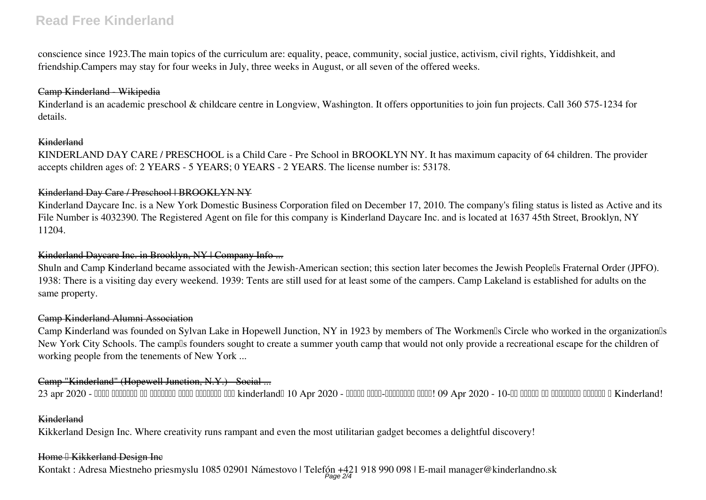# **Read Free Kinderland**

conscience since 1923.The main topics of the curriculum are: equality, peace, community, social justice, activism, civil rights, Yiddishkeit, and friendship.Campers may stay for four weeks in July, three weeks in August, or all seven of the offered weeks.

## Camp Kinderland - Wikipedia

Kinderland is an academic preschool & childcare centre in Longview, Washington. It offers opportunities to join fun projects. Call 360 575-1234 for details.

## Kinderland

KINDERLAND DAY CARE / PRESCHOOL is a Child Care - Pre School in BROOKLYN NY. It has maximum capacity of 64 children. The provider accepts children ages of: 2 YEARS - 5 YEARS; 0 YEARS - 2 YEARS. The license number is: 53178.

## Kinderland Day Care / Preschool | BROOKLYN NY

Kinderland Daycare Inc. is a New York Domestic Business Corporation filed on December 17, 2010. The company's filing status is listed as Active and its File Number is 4032390. The Registered Agent on file for this company is Kinderland Daycare Inc. and is located at 1637 45th Street, Brooklyn, NY 11204.

## Kinderland Daycare Inc. in Brooklyn, NY | Company Info ...

Shuln and Camp Kinderland became associated with the Jewish-American section; this section later becomes the Jewish Peoplells Fraternal Order (JPFO). 1938: There is a visiting day every weekend. 1939: Tents are still used for at least some of the campers. Camp Lakeland is established for adults on the same property.

## Camp Kinderland Alumni Association

Camp Kinderland was founded on Sylvan Lake in Hopewell Junction, NY in 1923 by members of The Workmen's Circle who worked in the organization's New York City Schools. The camplls founders sought to create a summer youth camp that would not only provide a recreational escape for the children of working people from the tenements of New York ...

# Camp "Kinderland" (Hopewell Junction, N.Y.) - Social ...

23 apr 2020 - ОБЩИ УСЛОВИЯ НА ФЕЙСБУК ИГРА "РОЖДЕН ДЕН kinderland" 10 Apr 2020 - Моден анти-кризисен план! 09 Apr 2020 - 10-те тайни на изгодния шопинг в Kinderland!

#### Kinderland

Kikkerland Design Inc. Where creativity runs rampant and even the most utilitarian gadget becomes a delightful discovery!

#### Home <sup>[]</sup> Kikkerland Design Inc

Kontakt : Adresa Miestneho priesmyslu 1085 02901 Námestovo | Telefón +421 918 990 098 | E-mail manager@kinderlandno.sk<br>Page 2/4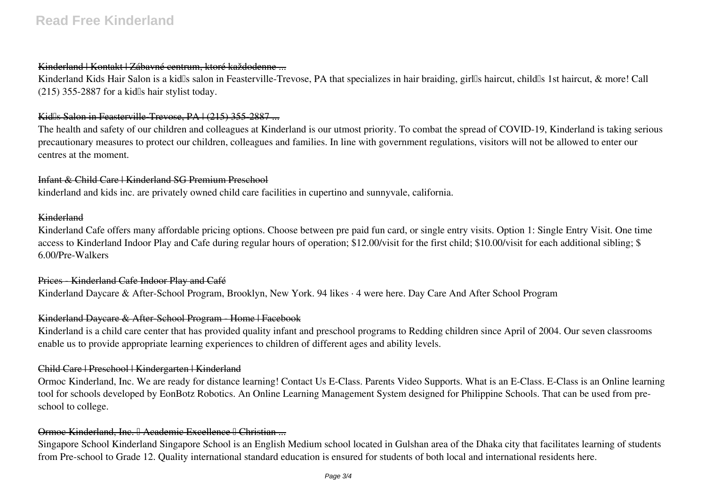# Kinderland | Kontakt | Zábavné centrum, ktoré každodenne ...

Kinderland Kids Hair Salon is a kid<sup>''</sup>s salon in Feasterville-Trevose, PA that specializes in hair braiding, girl<sup>''</sup>s haircut, child<sup>''</sup>s 1st haircut, & more! Call  $(215)$  355-2887 for a kidlls hair stylist today.

## Kidlls Salon in Feasterville-Trevose, PA | (215) 355-2887 ...

The health and safety of our children and colleagues at Kinderland is our utmost priority. To combat the spread of COVID-19, Kinderland is taking serious precautionary measures to protect our children, colleagues and families. In line with government regulations, visitors will not be allowed to enter our centres at the moment.

# Infant & Child Care | Kinderland SG Premium Preschool

kinderland and kids inc. are privately owned child care facilities in cupertino and sunnyvale, california.

#### Kinderland

Kinderland Cafe offers many affordable pricing options. Choose between pre paid fun card, or single entry visits. Option 1: Single Entry Visit. One time access to Kinderland Indoor Play and Cafe during regular hours of operation; \$12.00/visit for the first child; \$10.00/visit for each additional sibling; \$ 6.00/Pre-Walkers

Prices Kinderland Cafe Indoor Play and Café Kinderland Daycare & After-School Program, Brooklyn, New York. 94 likes · 4 were here. Day Care And After School Program

#### Kinderland Daycare & After-School Program - Home | Facebook

Kinderland is a child care center that has provided quality infant and preschool programs to Redding children since April of 2004. Our seven classrooms enable us to provide appropriate learning experiences to children of different ages and ability levels.

#### Child Care | Preschool | Kindergarten | Kinderland

Ormoc Kinderland, Inc. We are ready for distance learning! Contact Us E-Class. Parents Video Supports. What is an E-Class. E-Class is an Online learning tool for schools developed by EonBotz Robotics. An Online Learning Management System designed for Philippine Schools. That can be used from preschool to college.

# Ormoc Kinderland, Inc. <sup>[]</sup> Academic Excellence <sup>[]</sup> Christian

Singapore School Kinderland Singapore School is an English Medium school located in Gulshan area of the Dhaka city that facilitates learning of students from Pre-school to Grade 12. Quality international standard education is ensured for students of both local and international residents here.